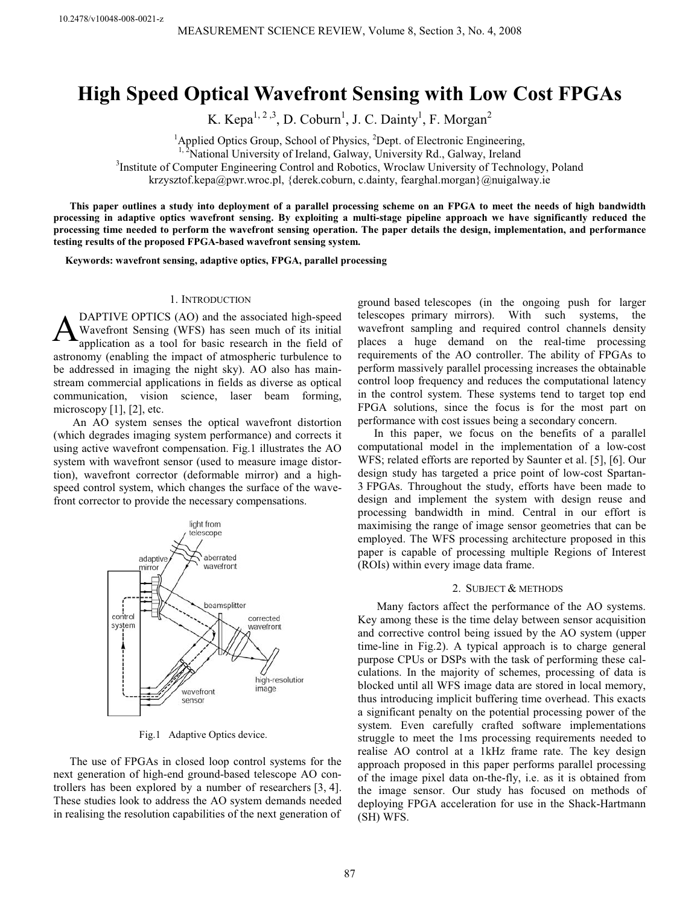# High Speed Optical Wavefront Sensing with Low Cost FPGAs

K. Kepa<sup>1, 2,3</sup>, D. Coburn<sup>1</sup>, J. C. Dainty<sup>1</sup>, F. Morgan<sup>2</sup>

<sup>1</sup>Applied Optics Group, School of Physics, <sup>2</sup>

<sup>1, 2</sup>National University of Ireland, Galway, University Rd., Galway, Ireland

<sup>3</sup>Institute of Computer Engineering Control and Robotics, Wroclaw University of Technology, Poland

krzysztof.kepa@pwr.wroc.pl, {derek.coburn, c.dainty, fearghal.morgan}@nuigalway.ie

This paper outlines a study into deployment of a parallel processing scheme on an FPGA to meet the needs of high bandwidth processing in adaptive optics wavefront sensing. By exploiting a multi-stage pipeline approach we have significantly reduced the processing time needed to perform the wavefront sensing operation. The paper details the design, implementation, and performance testing results of the proposed FPGA-based wavefront sensing system.

Keywords: wavefront sensing, adaptive optics, FPGA, parallel processing

# 1. INTRODUCTION

DAPTIVE OPTICS (AO) and the associated high-speed Wavefront Sensing (WFS) has seen much of its initial application as a tool for basic research in the field of astronomy (enabling the impact of atmospheric turbulence to be addressed in imaging the night sky). AO also has mainstream commercial applications in fields as diverse as optical communication, vision science, laser beam forming, microscopy  $[1]$ ,  $[2]$ , etc. A

 An AO system senses the optical wavefront distortion (which degrades imaging system performance) and corrects it using active wavefront compensation. Fig.1 illustrates the AO system with wavefront sensor (used to measure image distortion), wavefront corrector (deformable mirror) and a highspeed control system, which changes the surface of the wavefront corrector to provide the necessary compensations.



Fig.1 Adaptive Optics device.

The use of FPGAs in closed loop control systems for the next generation of high-end ground-based telescope AO controllers has been explored by a number of researchers [3, 4]. These studies look to address the AO system demands needed in realising the resolution capabilities of the next generation of

ground based telescopes (in the ongoing push for larger telescopes primary mirrors). With such systems, the wavefront sampling and required control channels density places a huge demand on the real-time processing requirements of the AO controller. The ability of FPGAs to perform massively parallel processing increases the obtainable control loop frequency and reduces the computational latency in the control system. These systems tend to target top end FPGA solutions, since the focus is for the most part on performance with cost issues being a secondary concern.

In this paper, we focus on the benefits of a parallel computational model in the implementation of a low-cost WFS; related efforts are reported by Saunter et al. [5], [6]. Our design study has targeted a price point of low-cost Spartan-3 FPGAs. Throughout the study, efforts have been made to design and implement the system with design reuse and processing bandwidth in mind. Central in our effort is maximising the range of image sensor geometries that can be employed. The WFS processing architecture proposed in this paper is capable of processing multiple Regions of Interest (ROIs) within every image data frame.

# 2. SUBJECT & METHODS

 Many factors affect the performance of the AO systems. Key among these is the time delay between sensor acquisition and corrective control being issued by the AO system (upper time-line in Fig.2). A typical approach is to charge general purpose CPUs or DSPs with the task of performing these calculations. In the majority of schemes, processing of data is blocked until all WFS image data are stored in local memory, thus introducing implicit buffering time overhead. This exacts a significant penalty on the potential processing power of the system. Even carefully crafted software implementations struggle to meet the 1ms processing requirements needed to realise AO control at a 1kHz frame rate. The key design approach proposed in this paper performs parallel processing of the image pixel data on-the-fly, i.e. as it is obtained from the image sensor. Our study has focused on methods of deploying FPGA acceleration for use in the Shack-Hartmann (SH) WFS.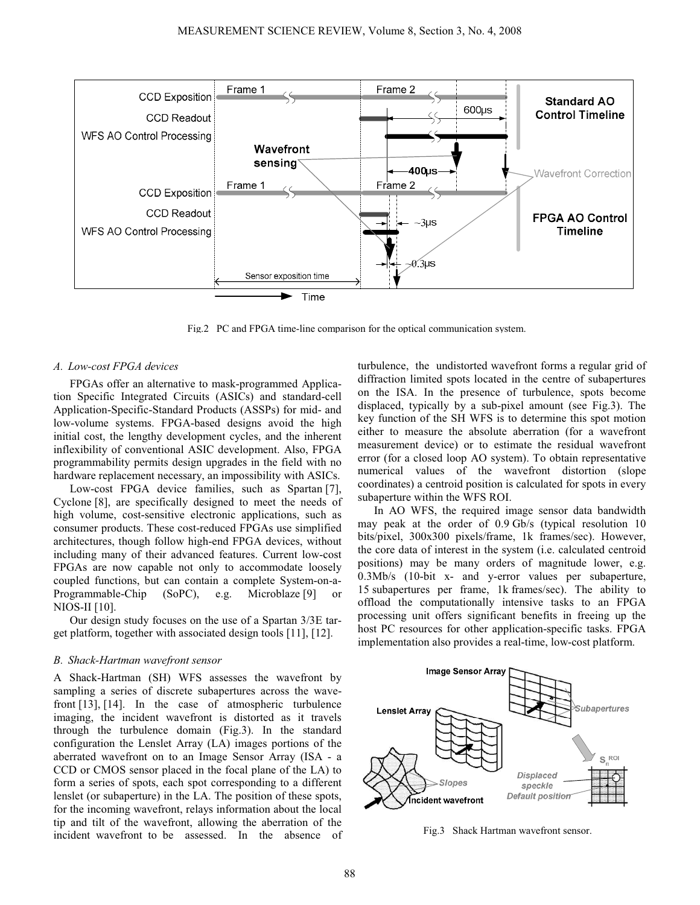

Fig.2 PC and FPGA time-line comparison for the optical communication system.

# A. Low-cost FPGA devices

FPGAs offer an alternative to mask-programmed Application Specific Integrated Circuits (ASICs) and standard-cell Application-Specific-Standard Products (ASSPs) for mid- and low-volume systems. FPGA-based designs avoid the high initial cost, the lengthy development cycles, and the inherent inflexibility of conventional ASIC development. Also, FPGA programmability permits design upgrades in the field with no hardware replacement necessary, an impossibility with ASICs.

Low-cost FPGA device families, such as Spartan [7], Cyclone [8], are specifically designed to meet the needs of high volume, cost-sensitive electronic applications, such as consumer products. These cost-reduced FPGAs use simplified architectures, though follow high-end FPGA devices, without including many of their advanced features. Current low-cost FPGAs are now capable not only to accommodate loosely coupled functions, but can contain a complete System-on-a-Programmable-Chip  $(SoPC)$ , e.g. Microblaze [9] NIOS-II [10].

Our design study focuses on the use of a Spartan 3/3E target platform, together with associated design tools [11], [12].

# B. Shack-Hartman wavefront sensor

A Shack-Hartman (SH) WFS assesses the wavefront by sampling a series of discrete subapertures across the wavefront [13], [14]. In the case of atmospheric turbulence imaging, the incident wavefront is distorted as it travels through the turbulence domain (Fig.3). In the standard configuration the Lenslet Array (LA) images portions of the aberrated wavefront on to an Image Sensor Array (ISA - a CCD or CMOS sensor placed in the focal plane of the LA) to form a series of spots, each spot corresponding to a different lenslet (or subaperture) in the LA. The position of these spots, for the incoming wavefront, relays information about the local tip and tilt of the wavefront, allowing the aberration of the incident wavefront to be assessed. In the absence of turbulence, the undistorted wavefront forms a regular grid of diffraction limited spots located in the centre of subapertures on the ISA. In the presence of turbulence, spots become displaced, typically by a sub-pixel amount (see Fig.3). The key function of the SH WFS is to determine this spot motion either to measure the absolute aberration (for a wavefront measurement device) or to estimate the residual wavefront error (for a closed loop AO system). To obtain representative numerical values of the wavefront distortion (slope coordinates) a centroid position is calculated for spots in every subaperture within the WFS ROI.

In AO WFS, the required image sensor data bandwidth may peak at the order of 0.9 Gb/s (typical resolution 10 bits/pixel, 300x300 pixels/frame, 1k frames/sec). However, the core data of interest in the system (i.e. calculated centroid positions) may be many orders of magnitude lower, e.g. 0.3Mb/s (10-bit x- and y-error values per subaperture, 15 subapertures per frame, 1k frames/sec). The ability to offload the computationally intensive tasks to an FPGA processing unit offers significant benefits in freeing up the host PC resources for other application-specific tasks. FPGA implementation also provides a real-time, low-cost platform.



Fig.3 Shack Hartman wavefront sensor.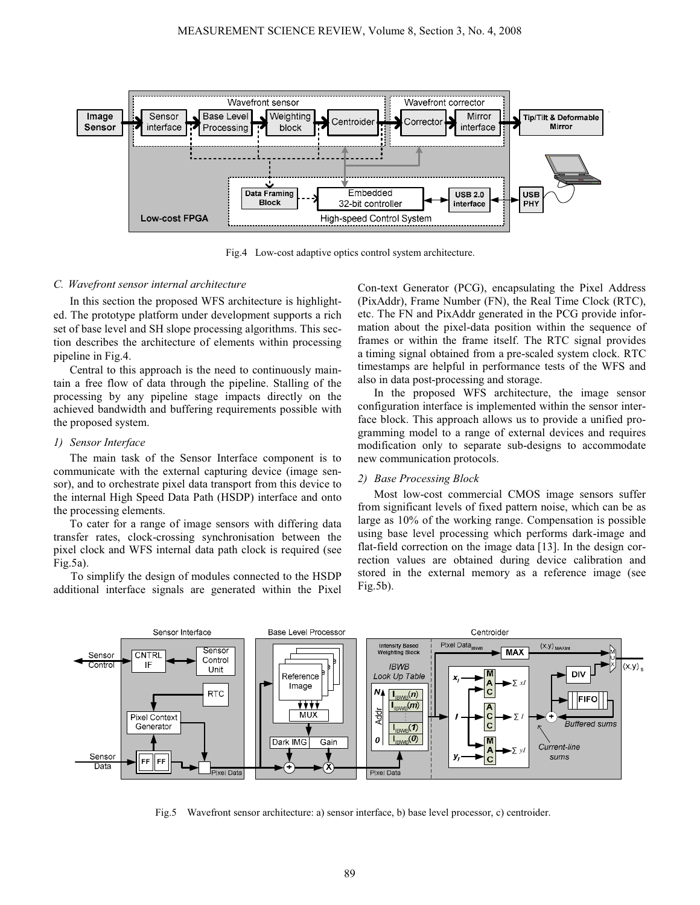

Fig.4 Low-cost adaptive optics control system architecture.

# C. Wavefront sensor internal architecture

In this section the proposed WFS architecture is highlighted. The prototype platform under development supports a rich set of base level and SH slope processing algorithms. This section describes the architecture of elements within processing pipeline in Fig.4.

Central to this approach is the need to continuously maintain a free flow of data through the pipeline. Stalling of the processing by any pipeline stage impacts directly on the achieved bandwidth and buffering requirements possible with the proposed system.

#### 1) Sensor Interface

The main task of the Sensor Interface component is to communicate with the external capturing device (image sensor), and to orchestrate pixel data transport from this device to the internal High Speed Data Path (HSDP) interface and onto the processing elements.

To cater for a range of image sensors with differing data transfer rates, clock-crossing synchronisation between the pixel clock and WFS internal data path clock is required (see Fig.5a).

 To simplify the design of modules connected to the HSDP additional interface signals are generated within the Pixel Con-text Generator (PCG), encapsulating the Pixel Address (PixAddr), Frame Number (FN), the Real Time Clock (RTC), etc. The FN and PixAddr generated in the PCG provide information about the pixel-data position within the sequence of frames or within the frame itself. The RTC signal provides a timing signal obtained from a pre-scaled system clock. RTC timestamps are helpful in performance tests of the WFS and also in data post-processing and storage.

In the proposed WFS architecture, the image sensor configuration interface is implemented within the sensor interface block. This approach allows us to provide a unified programming model to a range of external devices and requires modification only to separate sub-designs to accommodate new communication protocols.

#### 2) Base Processing Block

Most low-cost commercial CMOS image sensors suffer from significant levels of fixed pattern noise, which can be as large as 10% of the working range. Compensation is possible using base level processing which performs dark-image and flat-field correction on the image data [13]. In the design correction values are obtained during device calibration and stored in the external memory as a reference image (see Fig.5b).



Fig.5 Wavefront sensor architecture: a) sensor interface, b) base level processor, c) centroider.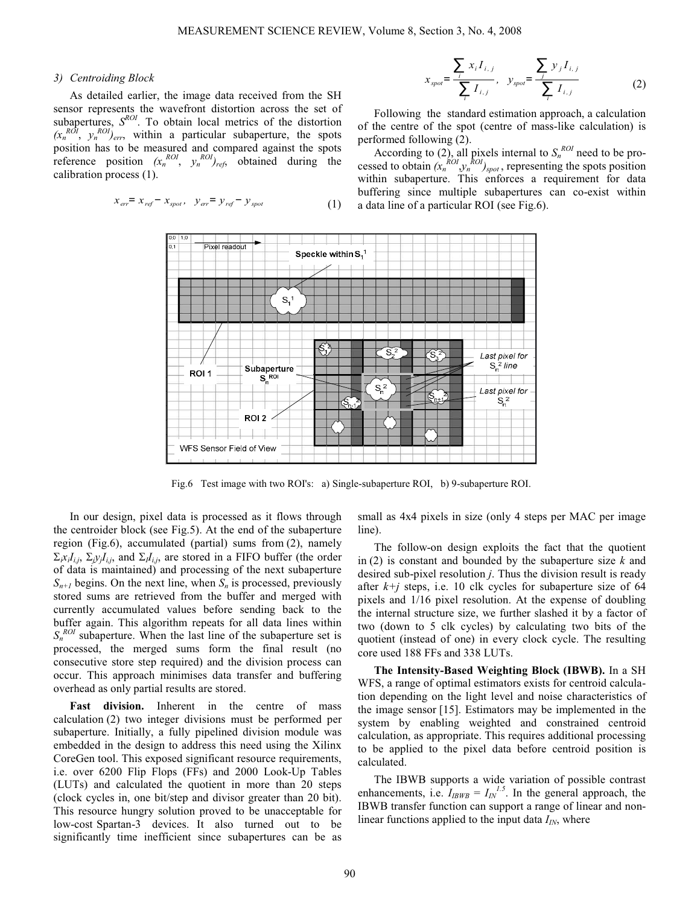#### 3) Centroiding Block

As detailed earlier, the image data received from the SH sensor represents the wavefront distortion across the set of subapertures,  $S^{ROI}$ . To obtain local metrics of the distortion  $(x_n^{ROI}, y_n^{ROI})_{err}$ , within a particular subaperture, the spots position has to be measured and compared against the spots reference position  $(x_n^{ROI}, y_n^{ROI})_{ref}$  obtained during the calibration process (1).

$$
x_{er} = x_{ref} - x_{spot}, \quad y_{er} = y_{ref} - y_{spot}
$$
 (1)

$$
x_{spot} = \frac{\sum_{i} x_{i} I_{i,j}}{\sum_{i} I_{i,j}}, \quad y_{spot} = \frac{\sum_{j} y_{j} I_{i,j}}{\sum_{i} I_{i,j}}
$$
(2)

Following the standard estimation approach, a calculation of the centre of the spot (centre of mass-like calculation) is performed following (2).

According to (2), all pixels internal to  $S_n^{ROI}$  need to be processed to obtain  $(x_n^{ROI}, y_n^{ROI})_{spot}$ , representing the spots position within subaperture. This enforces a requirement for data buffering since multiple subapertures can co-exist within a data line of a particular ROI (see Fig.6).



Fig.6 Test image with two ROI's: a) Single-subaperture ROI, b) 9-subaperture ROI.

In our design, pixel data is processed as it flows through the centroider block (see Fig.5). At the end of the subaperture region (Fig.6), accumulated (partial) sums from (2), namely  $\Sigma_i x_i I_{i,j}$ ,  $\Sigma_i y_i I_{i,j}$ , and  $\Sigma_i I_{i,j}$ , are stored in a FIFO buffer (the order of data is maintained) and processing of the next subaperture  $S_{n+1}$  begins. On the next line, when  $S_n$  is processed, previously stored sums are retrieved from the buffer and merged with currently accumulated values before sending back to the buffer again. This algorithm repeats for all data lines within  $S_n^{\,ROI}$  subaperture. When the last line of the subaperture set is processed, the merged sums form the final result (no consecutive store step required) and the division process can occur. This approach minimises data transfer and buffering overhead as only partial results are stored.

Fast division. Inherent in the centre of mass calculation (2) two integer divisions must be performed per subaperture. Initially, a fully pipelined division module was embedded in the design to address this need using the Xilinx CoreGen tool. This exposed significant resource requirements, i.e. over 6200 Flip Flops (FFs) and 2000 Look-Up Tables (LUTs) and calculated the quotient in more than 20 steps (clock cycles in, one bit/step and divisor greater than 20 bit). This resource hungry solution proved to be unacceptable for low-cost Spartan-3 devices. It also turned out to be significantly time inefficient since subapertures can be as small as 4x4 pixels in size (only 4 steps per MAC per image line).

The follow-on design exploits the fact that the quotient in (2) is constant and bounded by the subaperture size  $k$  and desired sub-pixel resolution j. Thus the division result is ready after  $k+j$  steps, i.e. 10 clk cycles for subaperture size of 64 pixels and 1/16 pixel resolution. At the expense of doubling the internal structure size, we further slashed it by a factor of two (down to 5 clk cycles) by calculating two bits of the quotient (instead of one) in every clock cycle. The resulting core used 188 FFs and 338 LUTs.

The Intensity-Based Weighting Block (IBWB). In a SH WFS, a range of optimal estimators exists for centroid calculation depending on the light level and noise characteristics of the image sensor [15]. Estimators may be implemented in the system by enabling weighted and constrained centroid calculation, as appropriate. This requires additional processing to be applied to the pixel data before centroid position is calculated.

The IBWB supports a wide variation of possible contrast enhancements, i.e.  $I_{IBWB} = I_{IN}^{1.5}$ . In the general approach, the IBWB transfer function can support a range of linear and nonlinear functions applied to the input data  $I_{IN}$ , where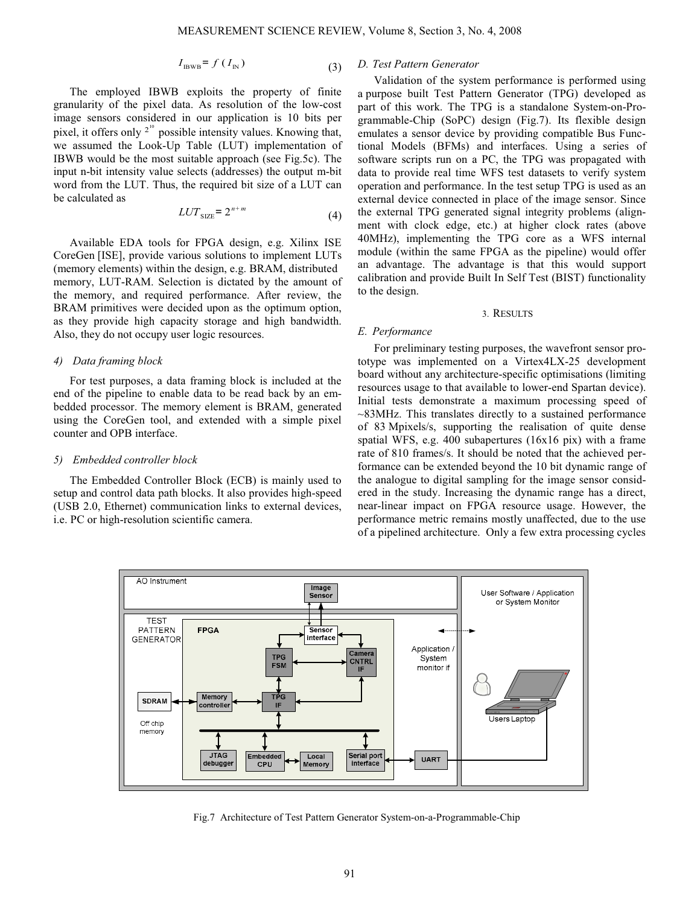$$
I_{\text{IBWB}} = f(I_{\text{IN}})
$$
 (3)

The employed IBWB exploits the property of finite granularity of the pixel data. As resolution of the low-cost image sensors considered in our application is 10 bits per pixel, it offers only  $2^{10}$  possible intensity values. Knowing that, we assumed the Look-Up Table (LUT) implementation of IBWB would be the most suitable approach (see Fig.5c). The input n-bit intensity value selects (addresses) the output m-bit word from the LUT. Thus, the required bit size of a LUT can be calculated as

$$
LUT_{\text{SIZE}} = 2^{n+m} \tag{4}
$$

Available EDA tools for FPGA design, e.g. Xilinx ISE CoreGen [ISE], provide various solutions to implement LUTs (memory elements) within the design, e.g. BRAM, distributed memory, LUT-RAM. Selection is dictated by the amount of the memory, and required performance. After review, the BRAM primitives were decided upon as the optimum option, as they provide high capacity storage and high bandwidth. Also, they do not occupy user logic resources.

#### 4) Data framing block

For test purposes, a data framing block is included at the end of the pipeline to enable data to be read back by an embedded processor. The memory element is BRAM, generated using the CoreGen tool, and extended with a simple pixel counter and OPB interface.

#### 5) Embedded controller block

The Embedded Controller Block (ECB) is mainly used to setup and control data path blocks. It also provides high-speed (USB 2.0, Ethernet) communication links to external devices, i.e. PC or high-resolution scientific camera.

# D. Test Pattern Generator

Validation of the system performance is performed using a purpose built Test Pattern Generator (TPG) developed as part of this work. The TPG is a standalone System-on-Programmable-Chip (SoPC) design (Fig.7). Its flexible design emulates a sensor device by providing compatible Bus Functional Models (BFMs) and interfaces. Using a series of software scripts run on a PC, the TPG was propagated with data to provide real time WFS test datasets to verify system operation and performance. In the test setup TPG is used as an external device connected in place of the image sensor. Since the external TPG generated signal integrity problems (alignment with clock edge, etc.) at higher clock rates (above 40MHz), implementing the TPG core as a WFS internal module (within the same FPGA as the pipeline) would offer an advantage. The advantage is that this would support calibration and provide Built In Self Test (BIST) functionality to the design.

#### 3. RESULTS

# E. Performance

For preliminary testing purposes, the wavefront sensor prototype was implemented on a Virtex4LX-25 development board without any architecture-specific optimisations (limiting resources usage to that available to lower-end Spartan device). Initial tests demonstrate a maximum processing speed of ~83MHz. This translates directly to a sustained performance of 83 Mpixels/s, supporting the realisation of quite dense spatial WFS, e.g. 400 subapertures (16x16 pix) with a frame rate of 810 frames/s. It should be noted that the achieved performance can be extended beyond the 10 bit dynamic range of the analogue to digital sampling for the image sensor considered in the study. Increasing the dynamic range has a direct, near-linear impact on FPGA resource usage. However, the performance metric remains mostly unaffected, due to the use of a pipelined architecture. Only a few extra processing cycles



Fig.7 Architecture of Test Pattern Generator System-on-a-Programmable-Chip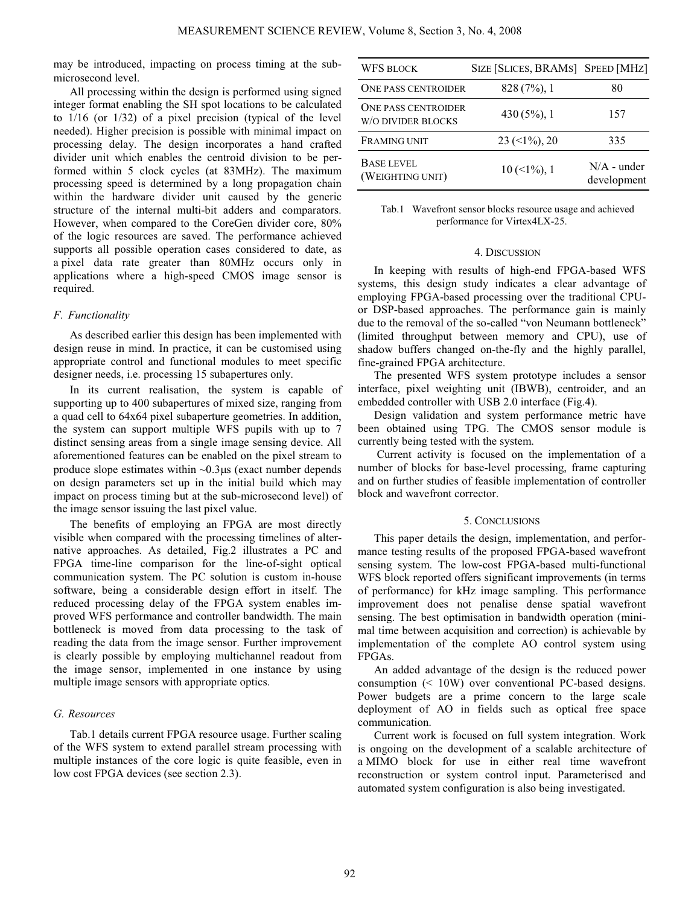may be introduced, impacting on process timing at the submicrosecond level.

All processing within the design is performed using signed integer format enabling the SH spot locations to be calculated to 1/16 (or 1/32) of a pixel precision (typical of the level needed). Higher precision is possible with minimal impact on processing delay. The design incorporates a hand crafted divider unit which enables the centroid division to be performed within 5 clock cycles (at 83MHz). The maximum processing speed is determined by a long propagation chain within the hardware divider unit caused by the generic structure of the internal multi-bit adders and comparators. However, when compared to the CoreGen divider core, 80% of the logic resources are saved. The performance achieved supports all possible operation cases considered to date, as a pixel data rate greater than 80MHz occurs only in applications where a high-speed CMOS image sensor is required.

# F. Functionality

As described earlier this design has been implemented with design reuse in mind. In practice, it can be customised using appropriate control and functional modules to meet specific designer needs, i.e. processing 15 subapertures only.

In its current realisation, the system is capable of supporting up to 400 subapertures of mixed size, ranging from a quad cell to 64x64 pixel subaperture geometries. In addition, the system can support multiple WFS pupils with up to 7 distinct sensing areas from a single image sensing device. All aforementioned features can be enabled on the pixel stream to produce slope estimates within  $\sim 0.3 \mu s$  (exact number depends on design parameters set up in the initial build which may impact on process timing but at the sub-microsecond level) of the image sensor issuing the last pixel value.

The benefits of employing an FPGA are most directly visible when compared with the processing timelines of alternative approaches. As detailed, Fig.2 illustrates a PC and FPGA time-line comparison for the line-of-sight optical communication system. The PC solution is custom in-house software, being a considerable design effort in itself. The reduced processing delay of the FPGA system enables improved WFS performance and controller bandwidth. The main bottleneck is moved from data processing to the task of reading the data from the image sensor. Further improvement is clearly possible by employing multichannel readout from the image sensor, implemented in one instance by using multiple image sensors with appropriate optics.

# G. Resources

Tab.1 details current FPGA resource usage. Further scaling of the WFS system to extend parallel stream processing with multiple instances of the core logic is quite feasible, even in low cost FPGA devices (see section 2.3).

| <b>WFS BLOCK</b>                                 | SIZE [SLICES, BRAMS] SPEED [MHZ]  |                              |
|--------------------------------------------------|-----------------------------------|------------------------------|
| <b>ONE PASS CENTROIDER</b>                       | $828(7\%)$ , 1                    | 80                           |
| <b>ONE PASS CENTROIDER</b><br>W/O DIVIDER BLOCKS | $430(5\%)$ , 1                    | 157                          |
| <b>FRAMING UNIT</b>                              | $23 \left( \leq 1\% \right)$ , 20 | 335                          |
| <b>BASE LEVEL</b><br>(WEIGHTING UNIT)            | $10 \, (\leq 1\%)$ , 1            | $N/A$ - under<br>development |

Tab.1 Wavefront sensor blocks resource usage and achieved performance for Virtex4LX-25.

#### 4. DISCUSSION

In keeping with results of high-end FPGA-based WFS systems, this design study indicates a clear advantage of employing FPGA-based processing over the traditional CPUor DSP-based approaches. The performance gain is mainly due to the removal of the so-called "von Neumann bottleneck" (limited throughput between memory and CPU), use of shadow buffers changed on-the-fly and the highly parallel, fine-grained FPGA architecture.

The presented WFS system prototype includes a sensor interface, pixel weighting unit (IBWB), centroider, and an embedded controller with USB 2.0 interface (Fig.4).

Design validation and system performance metric have been obtained using TPG. The CMOS sensor module is currently being tested with the system.

 Current activity is focused on the implementation of a number of blocks for base-level processing, frame capturing and on further studies of feasible implementation of controller block and wavefront corrector.

#### 5. CONCLUSIONS

This paper details the design, implementation, and performance testing results of the proposed FPGA-based wavefront sensing system. The low-cost FPGA-based multi-functional WFS block reported offers significant improvements (in terms of performance) for kHz image sampling. This performance improvement does not penalise dense spatial wavefront sensing. The best optimisation in bandwidth operation (minimal time between acquisition and correction) is achievable by implementation of the complete AO control system using FPGAs.

An added advantage of the design is the reduced power consumption (< 10W) over conventional PC-based designs. Power budgets are a prime concern to the large scale deployment of AO in fields such as optical free space communication.

Current work is focused on full system integration. Work is ongoing on the development of a scalable architecture of a MIMO block for use in either real time wavefront reconstruction or system control input. Parameterised and automated system configuration is also being investigated.